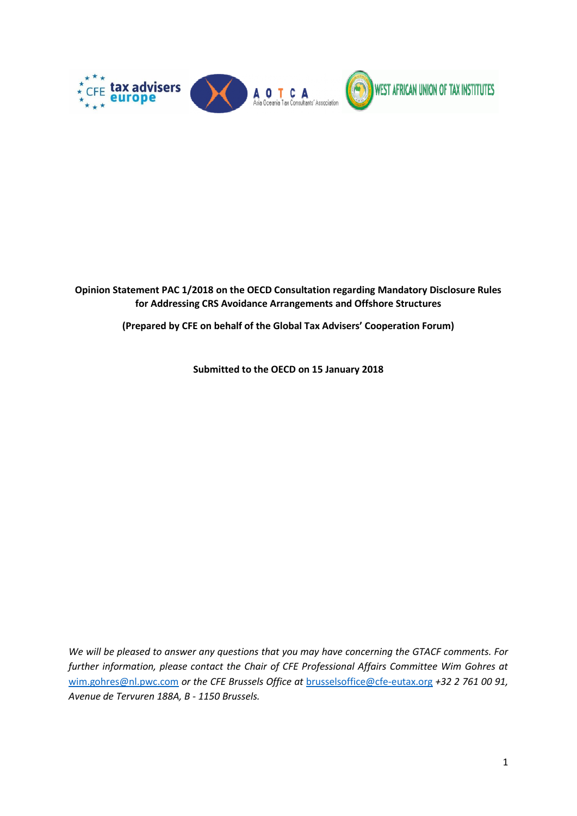

**Opinion Statement PAC 1/2018 on the OECD Consultation regarding Mandatory Disclosure Rules for Addressing CRS Avoidance Arrangements and Offshore Structures**

**(Prepared by CFE on behalf of the Global Tax Advisers' Cooperation Forum)**

**Submitted to the OECD on 15 January 2018**

*We will be pleased to answer any questions that you may have concerning the GTACF comments. For further information, please contact the Chair of CFE Professional Affairs Committee Wim Gohres at*  [wim.gohres@nl.pwc.com](mailto:wim.gohres@nl.pwc.com) *or the CFE Brussels Office at* [brusselsoffice@cfe-eutax.org](mailto:brusselsoffice@cfe-eutax.org) *+32 2 761 00 91, Avenue de Tervuren 188A, B - 1150 Brussels.*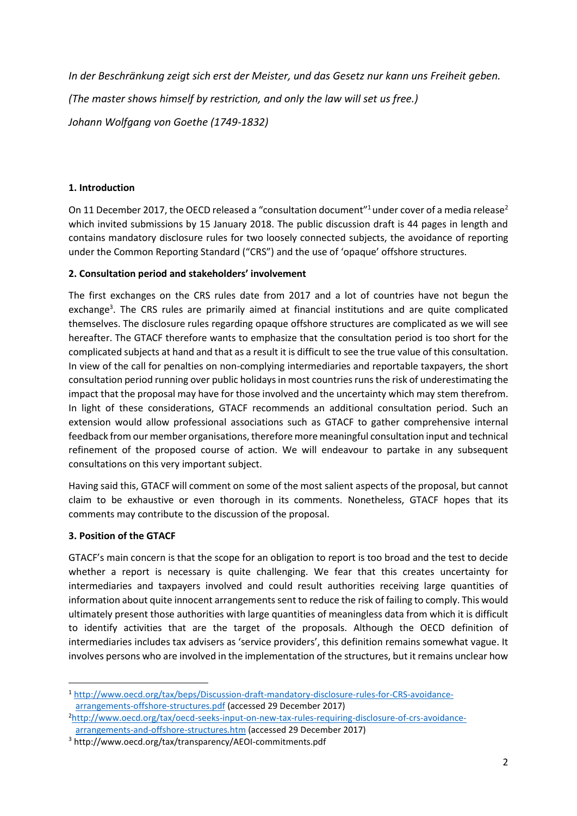*In der Beschränkung zeigt sich erst der Meister, und das Gesetz nur kann uns Freiheit geben.* 

*(The master shows himself by restriction, and only the law will set us free.)*

*Johann Wolfgang von Goethe (1749-1832)* 

## **1. Introduction**

On 11 December 2017, the OECD released a "consultation document"<sup>1</sup> under cover of a media release<sup>2</sup> which invited submissions by 15 January 2018. The public discussion draft is 44 pages in length and contains mandatory disclosure rules for two loosely connected subjects, the avoidance of reporting under the Common Reporting Standard ("CRS") and the use of 'opaque' offshore structures.

## **2. Consultation period and stakeholders' involvement**

The first exchanges on the CRS rules date from 2017 and a lot of countries have not begun the exchange<sup>3</sup>. The CRS rules are primarily aimed at financial institutions and are quite complicated themselves. The disclosure rules regarding opaque offshore structures are complicated as we will see hereafter. The GTACF therefore wants to emphasize that the consultation period is too short for the complicated subjects at hand and that as a result it is difficult to see the true value of this consultation. In view of the call for penalties on non-complying intermediaries and reportable taxpayers, the short consultation period running over public holidays in most countriesruns the risk of underestimating the impact that the proposal may have for those involved and the uncertainty which may stem therefrom. In light of these considerations, GTACF recommends an additional consultation period. Such an extension would allow professional associations such as GTACF to gather comprehensive internal feedback from our member organisations, therefore more meaningful consultation input and technical refinement of the proposed course of action. We will endeavour to partake in any subsequent consultations on this very important subject.

Having said this, GTACF will comment on some of the most salient aspects of the proposal, but cannot claim to be exhaustive or even thorough in its comments. Nonetheless, GTACF hopes that its comments may contribute to the discussion of the proposal.

# **3. Position of the GTACF**

**.** 

GTACF's main concern is that the scope for an obligation to report is too broad and the test to decide whether a report is necessary is quite challenging. We fear that this creates uncertainty for intermediaries and taxpayers involved and could result authorities receiving large quantities of information about quite innocent arrangements sent to reduce the risk of failing to comply. This would ultimately present those authorities with large quantities of meaningless data from which it is difficult to identify activities that are the target of the proposals. Although the OECD definition of intermediaries includes tax advisers as 'service providers', this definition remains somewhat vague. It involves persons who are involved in the implementation of the structures, but it remains unclear how

<sup>1</sup> [http://www.oecd.org/tax/beps/Discussion-draft-mandatory-disclosure-rules-for-CRS-avoidance](http://www.oecd.org/tax/beps/Discussion-draft-mandatory-disclosure-rules-for-CRS-avoidance-arrangements-offshore-structures.pdf)[arrangements-offshore-structures.pdf](http://www.oecd.org/tax/beps/Discussion-draft-mandatory-disclosure-rules-for-CRS-avoidance-arrangements-offshore-structures.pdf) (accessed 29 December 2017)

<sup>2</sup>[http://www.oecd.org/tax/oecd-seeks-input-on-new-tax-rules-requiring-disclosure-of-crs-avoidance](http://www.oecd.org/tax/oecd-seeks-input-on-new-tax-rules-requiring-disclosure-of-crs-avoidance-arrangements-and-offshore-structures.htm)[arrangements-and-offshore-structures.htm](http://www.oecd.org/tax/oecd-seeks-input-on-new-tax-rules-requiring-disclosure-of-crs-avoidance-arrangements-and-offshore-structures.htm) (accessed 29 December 2017)

<sup>3</sup> http://www.oecd.org/tax/transparency/AEOI-commitments.pdf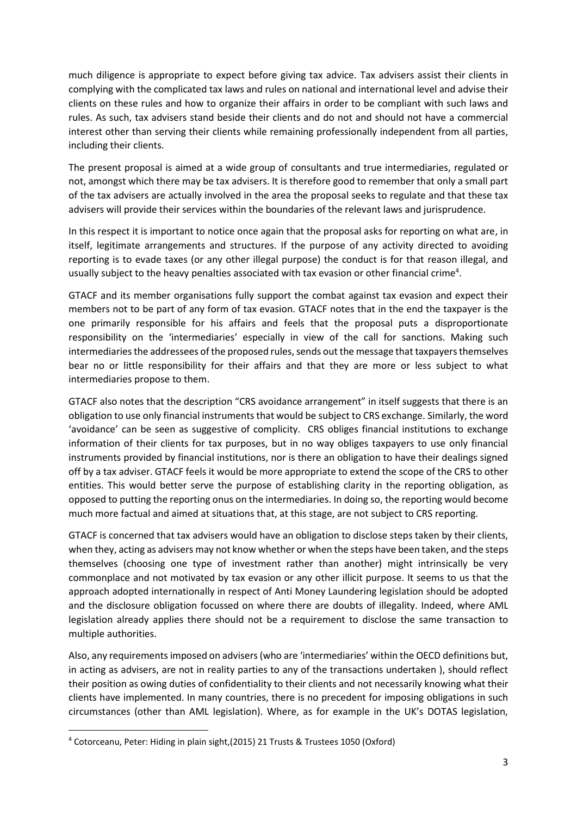much diligence is appropriate to expect before giving tax advice. Tax advisers assist their clients in complying with the complicated tax laws and rules on national and international level and advise their clients on these rules and how to organize their affairs in order to be compliant with such laws and rules. As such, tax advisers stand beside their clients and do not and should not have a commercial interest other than serving their clients while remaining professionally independent from all parties, including their clients.

The present proposal is aimed at a wide group of consultants and true intermediaries, regulated or not, amongst which there may be tax advisers. It is therefore good to remember that only a small part of the tax advisers are actually involved in the area the proposal seeks to regulate and that these tax advisers will provide their services within the boundaries of the relevant laws and jurisprudence.

In this respect it is important to notice once again that the proposal asks for reporting on what are, in itself, legitimate arrangements and structures. If the purpose of any activity directed to avoiding reporting is to evade taxes (or any other illegal purpose) the conduct is for that reason illegal, and usually subject to the heavy penalties associated with tax evasion or other financial crime<sup>4</sup>.

GTACF and its member organisations fully support the combat against tax evasion and expect their members not to be part of any form of tax evasion. GTACF notes that in the end the taxpayer is the one primarily responsible for his affairs and feels that the proposal puts a disproportionate responsibility on the 'intermediaries' especially in view of the call for sanctions. Making such intermediaries the addressees of the proposed rules, sends out the message that taxpayers themselves bear no or little responsibility for their affairs and that they are more or less subject to what intermediaries propose to them.

GTACF also notes that the description "CRS avoidance arrangement" in itself suggests that there is an obligation to use only financial instruments that would be subject to CRS exchange. Similarly, the word 'avoidance' can be seen as suggestive of complicity. CRS obliges financial institutions to exchange information of their clients for tax purposes, but in no way obliges taxpayers to use only financial instruments provided by financial institutions, nor is there an obligation to have their dealings signed off by a tax adviser. GTACF feels it would be more appropriate to extend the scope of the CRS to other entities. This would better serve the purpose of establishing clarity in the reporting obligation, as opposed to putting the reporting onus on the intermediaries. In doing so, the reporting would become much more factual and aimed at situations that, at this stage, are not subject to CRS reporting.

GTACF is concerned that tax advisers would have an obligation to disclose steps taken by their clients, when they, acting as advisers may not know whether or when the steps have been taken, and the steps themselves (choosing one type of investment rather than another) might intrinsically be very commonplace and not motivated by tax evasion or any other illicit purpose. It seems to us that the approach adopted internationally in respect of Anti Money Laundering legislation should be adopted and the disclosure obligation focussed on where there are doubts of illegality. Indeed, where AML legislation already applies there should not be a requirement to disclose the same transaction to multiple authorities.

Also, any requirements imposed on advisers (who are 'intermediaries' within the OECD definitions but, in acting as advisers, are not in reality parties to any of the transactions undertaken ), should reflect their position as owing duties of confidentiality to their clients and not necessarily knowing what their clients have implemented. In many countries, there is no precedent for imposing obligations in such circumstances (other than AML legislation). Where, as for example in the UK's DOTAS legislation,

1

<sup>4</sup> Cotorceanu, Peter: Hiding in plain sight,(2015) 21 Trusts & Trustees 1050 (Oxford)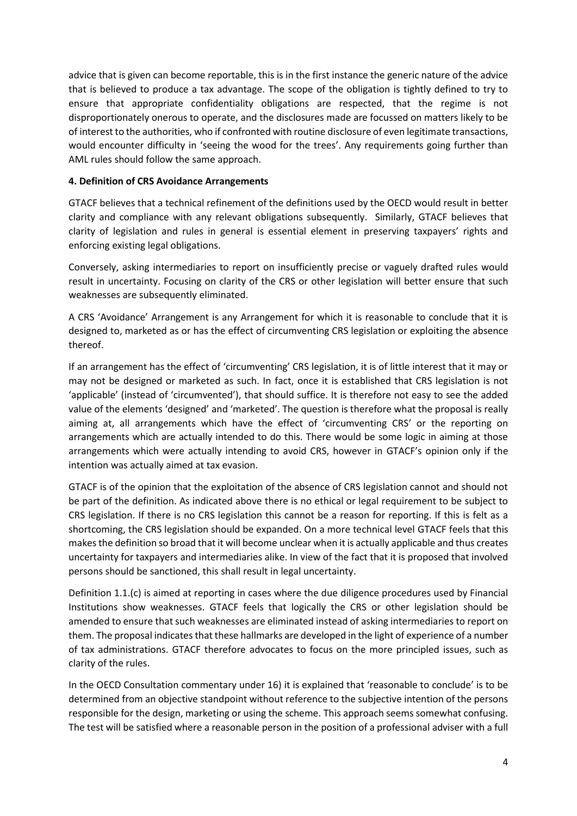advice that is given can become reportable, this is in the first instance the generic nature of the advice that is believed to produce a tax advantage. The scope of the obligation is tightly defined to try to ensure that appropriate confidentiality obligations are respected, that the regime is not disproportionately onerous to operate, and the disclosures made are focussed on matters likely to be of interest to the authorities, who if confronted with routine disclosure of even legitimate transactions, would encounter difficulty in 'seeing the wood for the trees'. Any requirements going further than AML rules should follow the same approach.

### **4. Definition of CRS Avoidance Arrangements**

GTACF believes that a technical refinement of the definitions used by the OECD would result in better clarity and compliance with any relevant obligations subsequently. Similarly, GTACF believes that clarity of legislation and rules in general is essential element in preserving taxpayers' rights and enforcing existing legal obligations.

Conversely, asking intermediaries to report on insufficiently precise or vaguely drafted rules would result in uncertainty. Focusing on clarity of the CRS or other legislation will better ensure that such weaknesses are subsequently eliminated.

A CRS 'Avoidance' Arrangement is any Arrangement for which it is reasonable to conclude that it is designed to, marketed as or has the effect of circumventing CRS legislation or exploiting the absence thereof.

If an arrangement has the effect of 'circumventing' CRS legislation, it is of little interest that it may or may not be designed or marketed as such. In fact, once it is established that CRS legislation is not 'applicable' (instead of 'circumvented'), that should suffice. It is therefore not easy to see the added value of the elements 'designed' and 'marketed'. The question is therefore what the proposal is really aiming at, all arrangements which have the effect of 'circumventing CRS' or the reporting on arrangements which are actually intended to do this. There would be some logic in aiming at those arrangements which were actually intending to avoid CRS, however in GTACF's opinion only if the intention was actually aimed at tax evasion.

GTACF is of the opinion that the exploitation of the absence of CRS legislation cannot and should not be part of the definition. As indicated above there is no ethical or legal requirement to be subject to CRS legislation. If there is no CRS legislation this cannot be a reason for reporting. If this is felt as a shortcoming, the CRS legislation should be expanded. On a more technical level GTACF feels that this makes the definition so broad that it will become unclear when it is actually applicable and thus creates uncertainty for taxpayers and intermediaries alike. In view of the fact that it is proposed that involved persons should be sanctioned, this shall result in legal uncertainty.

Definition 1.1.(c) is aimed at reporting in cases where the due diligence procedures used by Financial Institutions show weaknesses. GTACF feels that logically the CRS or other legislation should be amended to ensure that such weaknesses are eliminated instead of asking intermediaries to report on them. The proposal indicates that these hallmarks are developed in the light of experience of a number of tax administrations. GTACF therefore advocates to focus on the more principled issues, such as clarity of the rules.

In the OECD Consultation commentary under 16) it is explained that 'reasonable to conclude' is to be determined from an objective standpoint without reference to the subjective intention of the persons responsible for the design, marketing or using the scheme. This approach seems somewhat confusing. The test will be satisfied where a reasonable person in the position of a professional adviser with a full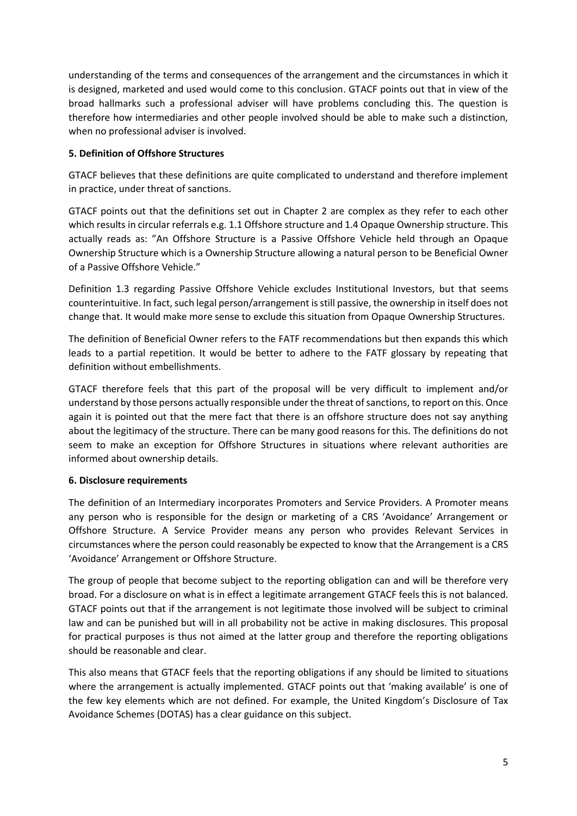understanding of the terms and consequences of the arrangement and the circumstances in which it is designed, marketed and used would come to this conclusion. GTACF points out that in view of the broad hallmarks such a professional adviser will have problems concluding this. The question is therefore how intermediaries and other people involved should be able to make such a distinction, when no professional adviser is involved.

### **5. Definition of Offshore Structures**

GTACF believes that these definitions are quite complicated to understand and therefore implement in practice, under threat of sanctions.

GTACF points out that the definitions set out in Chapter 2 are complex as they refer to each other which results in circular referrals e.g. 1.1 Offshore structure and 1.4 Opaque Ownership structure. This actually reads as: "An Offshore Structure is a Passive Offshore Vehicle held through an Opaque Ownership Structure which is a Ownership Structure allowing a natural person to be Beneficial Owner of a Passive Offshore Vehicle."

Definition 1.3 regarding Passive Offshore Vehicle excludes Institutional Investors, but that seems counterintuitive. In fact, such legal person/arrangement is still passive, the ownership in itself does not change that. It would make more sense to exclude this situation from Opaque Ownership Structures.

The definition of Beneficial Owner refers to the FATF recommendations but then expands this which leads to a partial repetition. It would be better to adhere to the FATF glossary by repeating that definition without embellishments.

GTACF therefore feels that this part of the proposal will be very difficult to implement and/or understand by those persons actually responsible under the threat of sanctions, to report on this. Once again it is pointed out that the mere fact that there is an offshore structure does not say anything about the legitimacy of the structure. There can be many good reasons for this. The definitions do not seem to make an exception for Offshore Structures in situations where relevant authorities are informed about ownership details.

### **6. Disclosure requirements**

The definition of an Intermediary incorporates Promoters and Service Providers. A Promoter means any person who is responsible for the design or marketing of a CRS 'Avoidance' Arrangement or Offshore Structure. A Service Provider means any person who provides Relevant Services in circumstances where the person could reasonably be expected to know that the Arrangement is a CRS 'Avoidance' Arrangement or Offshore Structure.

The group of people that become subject to the reporting obligation can and will be therefore very broad. For a disclosure on what is in effect a legitimate arrangement GTACF feels this is not balanced. GTACF points out that if the arrangement is not legitimate those involved will be subject to criminal law and can be punished but will in all probability not be active in making disclosures. This proposal for practical purposes is thus not aimed at the latter group and therefore the reporting obligations should be reasonable and clear.

This also means that GTACF feels that the reporting obligations if any should be limited to situations where the arrangement is actually implemented. GTACF points out that 'making available' is one of the few key elements which are not defined. For example, the United Kingdom's Disclosure of Tax Avoidance Schemes (DOTAS) has a clear guidance on this subject.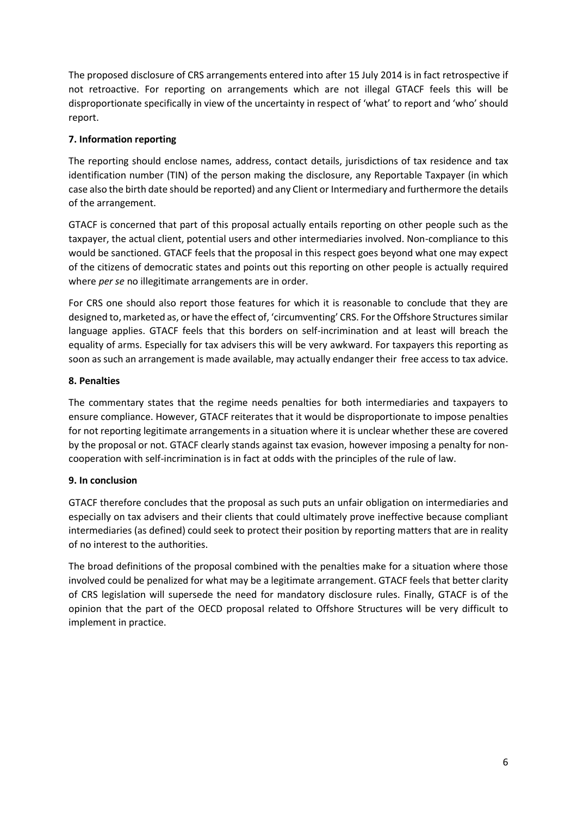The proposed disclosure of CRS arrangements entered into after 15 July 2014 is in fact retrospective if not retroactive. For reporting on arrangements which are not illegal GTACF feels this will be disproportionate specifically in view of the uncertainty in respect of 'what' to report and 'who' should report.

## **7. Information reporting**

The reporting should enclose names, address, contact details, jurisdictions of tax residence and tax identification number (TIN) of the person making the disclosure, any Reportable Taxpayer (in which case also the birth date should be reported) and any Client or Intermediary and furthermore the details of the arrangement.

GTACF is concerned that part of this proposal actually entails reporting on other people such as the taxpayer, the actual client, potential users and other intermediaries involved. Non-compliance to this would be sanctioned. GTACF feels that the proposal in this respect goes beyond what one may expect of the citizens of democratic states and points out this reporting on other people is actually required where *per se* no illegitimate arrangements are in order.

For CRS one should also report those features for which it is reasonable to conclude that they are designed to, marketed as, or have the effect of, 'circumventing' CRS. For the Offshore Structures similar language applies. GTACF feels that this borders on self-incrimination and at least will breach the equality of arms. Especially for tax advisers this will be very awkward. For taxpayers this reporting as soon as such an arrangement is made available, may actually endanger their free access to tax advice.

### **8. Penalties**

The commentary states that the regime needs penalties for both intermediaries and taxpayers to ensure compliance. However, GTACF reiterates that it would be disproportionate to impose penalties for not reporting legitimate arrangements in a situation where it is unclear whether these are covered by the proposal or not. GTACF clearly stands against tax evasion, however imposing a penalty for noncooperation with self-incrimination is in fact at odds with the principles of the rule of law.

### **9. In conclusion**

GTACF therefore concludes that the proposal as such puts an unfair obligation on intermediaries and especially on tax advisers and their clients that could ultimately prove ineffective because compliant intermediaries (as defined) could seek to protect their position by reporting matters that are in reality of no interest to the authorities.

The broad definitions of the proposal combined with the penalties make for a situation where those involved could be penalized for what may be a legitimate arrangement. GTACF feels that better clarity of CRS legislation will supersede the need for mandatory disclosure rules. Finally, GTACF is of the opinion that the part of the OECD proposal related to Offshore Structures will be very difficult to implement in practice.